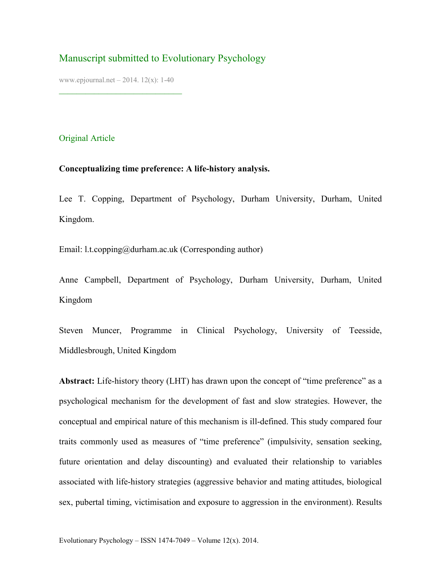# Manuscript submitted to Evolutionary Psychology

www.epjournal.net – 2014. 12(x): 1-40

¯¯¯¯¯¯¯¯¯¯¯¯¯¯¯¯¯¯¯¯¯¯¯¯¯¯¯¯

## Original Article

## **Conceptualizing time preference: A life-history analysis.**

Lee T. Copping, Department of Psychology, Durham University, Durham, United Kingdom.

Email: l.t.copping@durham.ac.uk (Corresponding author)

Anne Campbell, Department of Psychology, Durham University, Durham, United Kingdom

Steven Muncer, Programme in Clinical Psychology, University of Teesside, Middlesbrough, United Kingdom

Abstract: Life-history theory (LHT) has drawn upon the concept of "time preference" as a psychological mechanism for the development of fast and slow strategies. However, the conceptual and empirical nature of this mechanism is ill-defined. This study compared four traits commonly used as measures of "time preference" (impulsivity, sensation seeking, future orientation and delay discounting) and evaluated their relationship to variables associated with life-history strategies (aggressive behavior and mating attitudes, biological sex, pubertal timing, victimisation and exposure to aggression in the environment). Results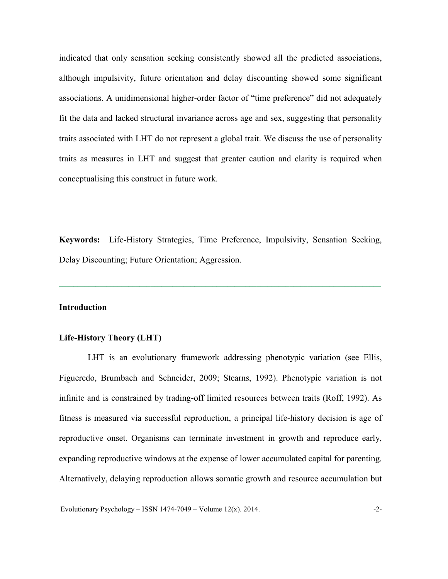indicated that only sensation seeking consistently showed all the predicted associations, although impulsivity, future orientation and delay discounting showed some significant associations. A unidimensional higher-order factor of "time preference" did not adequately fit the data and lacked structural invariance across age and sex, suggesting that personality traits associated with LHT do not represent a global trait. We discuss the use of personality traits as measures in LHT and suggest that greater caution and clarity is required when conceptualising this construct in future work.

**Keywords:** Life-History Strategies, Time Preference, Impulsivity, Sensation Seeking, Delay Discounting; Future Orientation; Aggression.

**¯¯¯¯¯¯¯¯¯¯¯¯¯¯¯¯¯¯¯¯¯¯¯¯¯¯¯¯¯¯¯¯¯¯¯¯¯¯¯¯¯¯¯¯¯¯¯¯¯¯¯¯¯¯¯¯¯¯¯¯¯¯¯¯¯¯¯¯¯¯¯¯¯¯¯¯¯¯¯¯¯¯¯¯¯¯¯¯**

#### **Introduction**

## **Life-History Theory (LHT)**

LHT is an evolutionary framework addressing phenotypic variation (see Ellis, Figueredo, Brumbach and Schneider, 2009; Stearns, 1992). Phenotypic variation is not infinite and is constrained by trading-off limited resources between traits (Roff, 1992). As fitness is measured via successful reproduction, a principal life-history decision is age of reproductive onset. Organisms can terminate investment in growth and reproduce early, expanding reproductive windows at the expense of lower accumulated capital for parenting. Alternatively, delaying reproduction allows somatic growth and resource accumulation but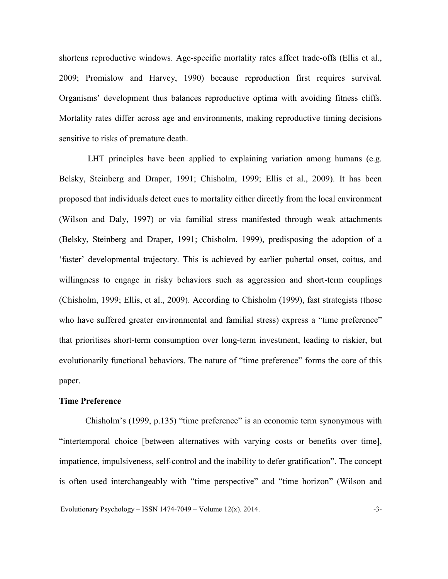shortens reproductive windows. Age-specific mortality rates affect trade-offs (Ellis et al., 2009; Promislow and Harvey, 1990) because reproduction first requires survival. Organisms' development thus balances reproductive optima with avoiding fitness cliffs. Mortality rates differ across age and environments, making reproductive timing decisions sensitive to risks of premature death.

LHT principles have been applied to explaining variation among humans (e.g. Belsky, Steinberg and Draper, 1991; Chisholm, 1999; Ellis et al., 2009). It has been proposed that individuals detect cues to mortality either directly from the local environment (Wilson and Daly, 1997) or via familial stress manifested through weak attachments (Belsky, Steinberg and Draper, 1991; Chisholm, 1999), predisposing the adoption of a 'faster' developmental trajectory. This is achieved by earlier pubertal onset, coitus, and willingness to engage in risky behaviors such as aggression and short-term couplings (Chisholm, 1999; Ellis, et al., 2009). According to Chisholm (1999), fast strategists (those who have suffered greater environmental and familial stress) express a "time preference" that prioritises short-term consumption over long-term investment, leading to riskier, but evolutionarily functional behaviors. The nature of "time preference" forms the core of this paper.

#### **Time Preference**

Chisholm's (1999, p.135) "time preference" is an economic term synonymous with "intertemporal choice [between alternatives with varying costs or benefits over time], impatience, impulsiveness, self-control and the inability to defer gratification". The concept is often used interchangeably with "time perspective" and "time horizon" (Wilson and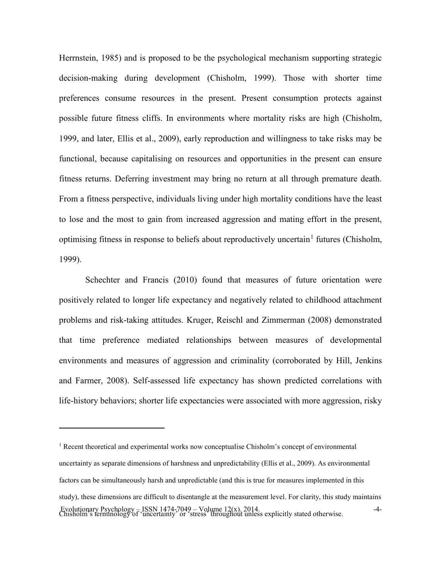Herrnstein, 1985) and is proposed to be the psychological mechanism supporting strategic decision-making during development (Chisholm, 1999). Those with shorter time preferences consume resources in the present. Present consumption protects against possible future fitness cliffs. In environments where mortality risks are high (Chisholm, 1999, and later, Ellis et al., 2009), early reproduction and willingness to take risks may be functional, because capitalising on resources and opportunities in the present can ensure fitness returns. Deferring investment may bring no return at all through premature death. From a fitness perspective, individuals living under high mortality conditions have the least to lose and the most to gain from increased aggression and mating effort in the present, optimising fitness in response to beliefs about reproductively uncertain<sup>[1](#page-3-0)</sup> futures (Chisholm, 1999).

Schechter and Francis (2010) found that measures of future orientation were positively related to longer life expectancy and negatively related to childhood attachment problems and risk-taking attitudes. Kruger, Reischl and Zimmerman (2008) demonstrated that time preference mediated relationships between measures of developmental environments and measures of aggression and criminality (corroborated by Hill, Jenkins and Farmer, 2008). Self-assessed life expectancy has shown predicted correlations with life-history behaviors; shorter life expectancies were associated with more aggression, risky

 $\overline{a}$ 

<span id="page-3-0"></span>Evolutionary Psychology – ISSN 1474-7049 – Volume 12(x). 2014.<br>Chisholm's terminology of 'uncertainty' or 'stress' throughout unless explicitly stated otherwise. <sup>1</sup> Recent theoretical and experimental works now conceptualise Chisholm's concept of environmental uncertainty as separate dimensions of harshness and unpredictability (Ellis et al., 2009). As environmental factors can be simultaneously harsh and unpredictable (and this is true for measures implemented in this study), these dimensions are difficult to disentangle at the measurement level. For clarity, this study maintains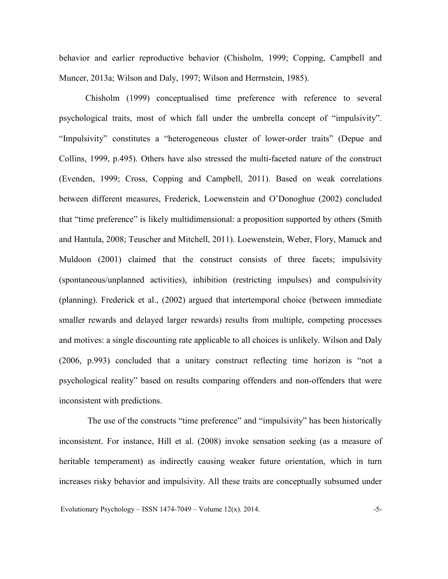behavior and earlier reproductive behavior (Chisholm, 1999; Copping, Campbell and Muncer, 2013a; Wilson and Daly, 1997; Wilson and Herrnstein, 1985).

Chisholm (1999) conceptualised time preference with reference to several psychological traits, most of which fall under the umbrella concept of "impulsivity". "Impulsivity" constitutes a "heterogeneous cluster of lower-order traits" (Depue and Collins, 1999, p.495). Others have also stressed the multi-faceted nature of the construct (Evenden, 1999; Cross, Copping and Campbell, 2011). Based on weak correlations between different measures, Frederick, Loewenstein and O'Donoghue (2002) concluded that "time preference" is likely multidimensional: a proposition supported by others (Smith and Hantula, 2008; Teuscher and Mitchell, 2011). Loewenstein, Weber, Flory, Manuck and Muldoon (2001) claimed that the construct consists of three facets; impulsivity (spontaneous/unplanned activities), inhibition (restricting impulses) and compulsivity (planning). Frederick et al., (2002) argued that intertemporal choice (between immediate smaller rewards and delayed larger rewards) results from multiple, competing processes and motives: a single discounting rate applicable to all choices is unlikely. Wilson and Daly (2006, p.993) concluded that a unitary construct reflecting time horizon is "not a psychological reality" based on results comparing offenders and non-offenders that were inconsistent with predictions.

The use of the constructs "time preference" and "impulsivity" has been historically inconsistent. For instance, Hill et al. (2008) invoke sensation seeking (as a measure of heritable temperament) as indirectly causing weaker future orientation, which in turn increases risky behavior and impulsivity. All these traits are conceptually subsumed under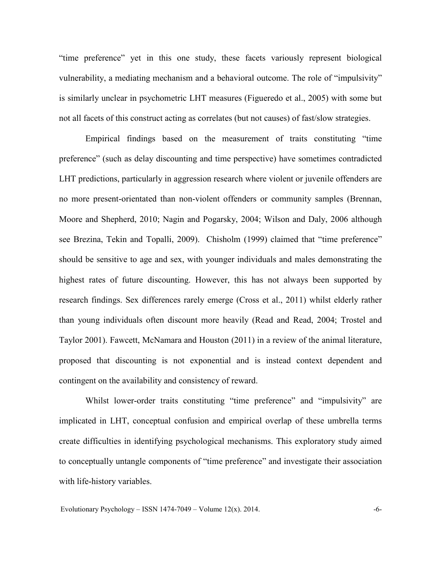"time preference" yet in this one study, these facets variously represent biological vulnerability, a mediating mechanism and a behavioral outcome. The role of "impulsivity" is similarly unclear in psychometric LHT measures (Figueredo et al., 2005) with some but not all facets of this construct acting as correlates (but not causes) of fast/slow strategies.

Empirical findings based on the measurement of traits constituting "time preference" (such as delay discounting and time perspective) have sometimes contradicted LHT predictions, particularly in aggression research where violent or juvenile offenders are no more present-orientated than non-violent offenders or community samples (Brennan, Moore and Shepherd, 2010; Nagin and Pogarsky, 2004; Wilson and Daly, 2006 although see Brezina, Tekin and Topalli, 2009). Chisholm (1999) claimed that "time preference" should be sensitive to age and sex, with younger individuals and males demonstrating the highest rates of future discounting. However, this has not always been supported by research findings. Sex differences rarely emerge (Cross et al., 2011) whilst elderly rather than young individuals often discount more heavily (Read and Read, 2004; Trostel and Taylor 2001). Fawcett, McNamara and Houston (2011) in a review of the animal literature, proposed that discounting is not exponential and is instead context dependent and contingent on the availability and consistency of reward.

Whilst lower-order traits constituting "time preference" and "impulsivity" are implicated in LHT, conceptual confusion and empirical overlap of these umbrella terms create difficulties in identifying psychological mechanisms. This exploratory study aimed to conceptually untangle components of "time preference" and investigate their association with life-history variables.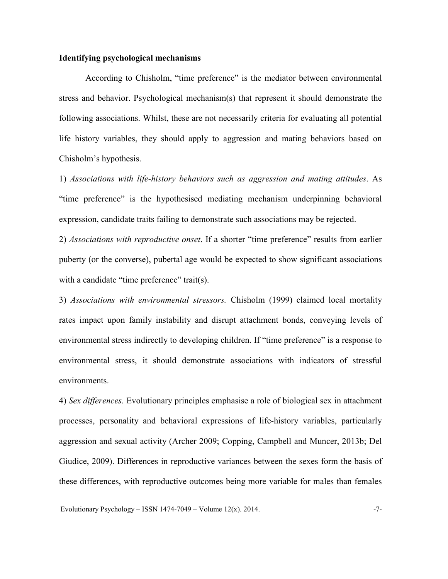## **Identifying psychological mechanisms**

According to Chisholm, "time preference" is the mediator between environmental stress and behavior. Psychological mechanism(s) that represent it should demonstrate the following associations. Whilst, these are not necessarily criteria for evaluating all potential life history variables, they should apply to aggression and mating behaviors based on Chisholm's hypothesis.

1) *Associations with life-history behaviors such as aggression and mating attitudes*. As "time preference" is the hypothesised mediating mechanism underpinning behavioral expression, candidate traits failing to demonstrate such associations may be rejected.

2) *Associations with reproductive onset*. If a shorter "time preference" results from earlier puberty (or the converse), pubertal age would be expected to show significant associations with a candidate "time preference" trait(s).

3) *Associations with environmental stressors.* Chisholm (1999) claimed local mortality rates impact upon family instability and disrupt attachment bonds, conveying levels of environmental stress indirectly to developing children. If "time preference" is a response to environmental stress, it should demonstrate associations with indicators of stressful environments.

4) *Sex differences*. Evolutionary principles emphasise a role of biological sex in attachment processes, personality and behavioral expressions of life-history variables, particularly aggression and sexual activity (Archer 2009; Copping, Campbell and Muncer, 2013b; Del Giudice, 2009). Differences in reproductive variances between the sexes form the basis of these differences, with reproductive outcomes being more variable for males than females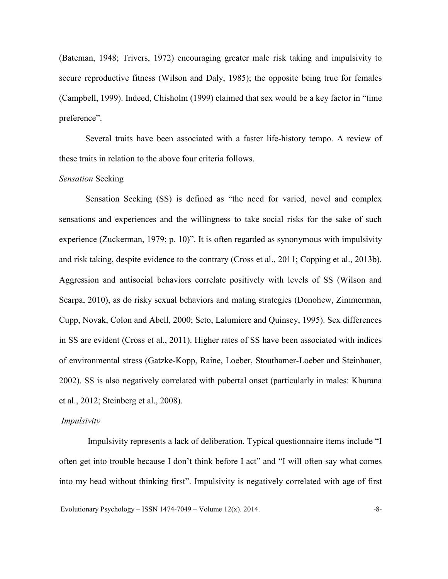(Bateman, 1948; Trivers, 1972) encouraging greater male risk taking and impulsivity to secure reproductive fitness (Wilson and Daly, 1985); the opposite being true for females (Campbell, 1999). Indeed, Chisholm (1999) claimed that sex would be a key factor in "time preference".

Several traits have been associated with a faster life-history tempo. A review of these traits in relation to the above four criteria follows.

## *Sensation* Seeking

Sensation Seeking (SS) is defined as "the need for varied, novel and complex sensations and experiences and the willingness to take social risks for the sake of such experience (Zuckerman, 1979; p. 10)". It is often regarded as synonymous with impulsivity and risk taking, despite evidence to the contrary (Cross et al., 2011; Copping et al., 2013b). Aggression and antisocial behaviors correlate positively with levels of SS (Wilson and Scarpa, 2010), as do risky sexual behaviors and mating strategies (Donohew, Zimmerman, Cupp, Novak, Colon and Abell, 2000; Seto, Lalumiere and Quinsey, 1995). Sex differences in SS are evident (Cross et al., 2011). Higher rates of SS have been associated with indices of environmental stress (Gatzke-Kopp, Raine, Loeber, Stouthamer-Loeber and Steinhauer, 2002). SS is also negatively correlated with pubertal onset (particularly in males: Khurana et al., 2012; Steinberg et al., 2008).

#### *Impulsivity*

Impulsivity represents a lack of deliberation. Typical questionnaire items include "I often get into trouble because I don't think before I act" and "I will often say what comes into my head without thinking first". Impulsivity is negatively correlated with age of first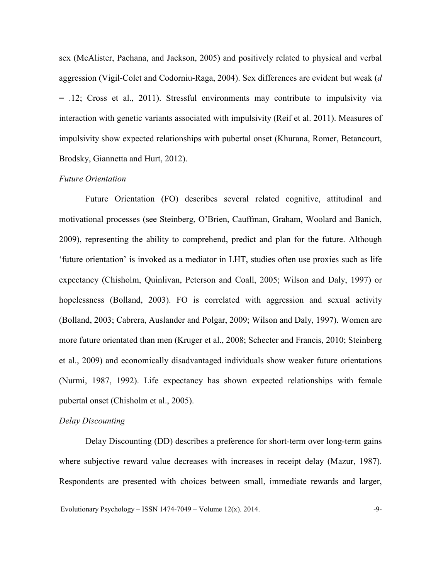sex (McAlister, Pachana, and Jackson, 2005) and positively related to physical and verbal aggression (Vigil-Colet and Codorniu-Raga, 2004). Sex differences are evident but weak (*d* = .12; Cross et al., 2011). Stressful environments may contribute to impulsivity via interaction with genetic variants associated with impulsivity (Reif et al. 2011). Measures of impulsivity show expected relationships with pubertal onset (Khurana, Romer, Betancourt, Brodsky, Giannetta and Hurt, 2012).

## *Future Orientation*

Future Orientation (FO) describes several related cognitive, attitudinal and motivational processes (see Steinberg, O'Brien, Cauffman, Graham, Woolard and Banich, 2009), representing the ability to comprehend, predict and plan for the future. Although 'future orientation' is invoked as a mediator in LHT, studies often use proxies such as life expectancy (Chisholm, Quinlivan, Peterson and Coall, 2005; Wilson and Daly, 1997) or hopelessness (Bolland, 2003). FO is correlated with aggression and sexual activity (Bolland, 2003; Cabrera, Auslander and Polgar, 2009; Wilson and Daly, 1997). Women are more future orientated than men (Kruger et al., 2008; Schecter and Francis, 2010; Steinberg et al., 2009) and economically disadvantaged individuals show weaker future orientations (Nurmi, 1987, 1992). Life expectancy has shown expected relationships with female pubertal onset (Chisholm et al., 2005).

#### *Delay Discounting*

Delay Discounting (DD) describes a preference for short-term over long-term gains where subjective reward value decreases with increases in receipt delay (Mazur, 1987). Respondents are presented with choices between small, immediate rewards and larger,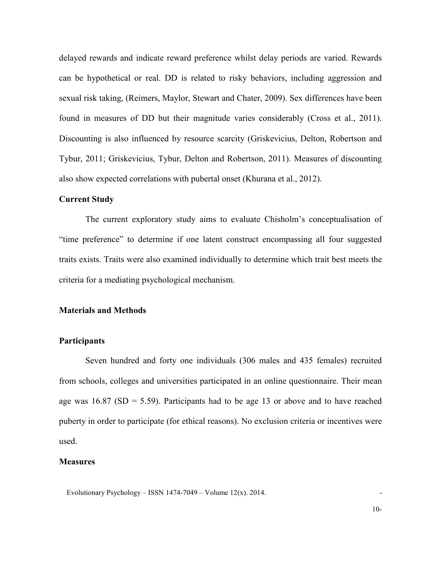delayed rewards and indicate reward preference whilst delay periods are varied. Rewards can be hypothetical or real. DD is related to risky behaviors, including aggression and sexual risk taking, (Reimers, Maylor, Stewart and Chater, 2009). Sex differences have been found in measures of DD but their magnitude varies considerably (Cross et al., 2011). Discounting is also influenced by resource scarcity (Griskevicius, Delton, Robertson and Tybur, 2011; Griskevicius, Tybur, Delton and Robertson, 2011). Measures of discounting also show expected correlations with pubertal onset (Khurana et al., 2012).

#### **Current Study**

The current exploratory study aims to evaluate Chisholm's conceptualisation of "time preference" to determine if one latent construct encompassing all four suggested traits exists. Traits were also examined individually to determine which trait best meets the criteria for a mediating psychological mechanism.

## **Materials and Methods**

#### **Participants**

Seven hundred and forty one individuals (306 males and 435 females) recruited from schools, colleges and universities participated in an online questionnaire. Their mean age was  $16.87$  (SD = 5.59). Participants had to be age 13 or above and to have reached puberty in order to participate (for ethical reasons). No exclusion criteria or incentives were used.

#### **Measures**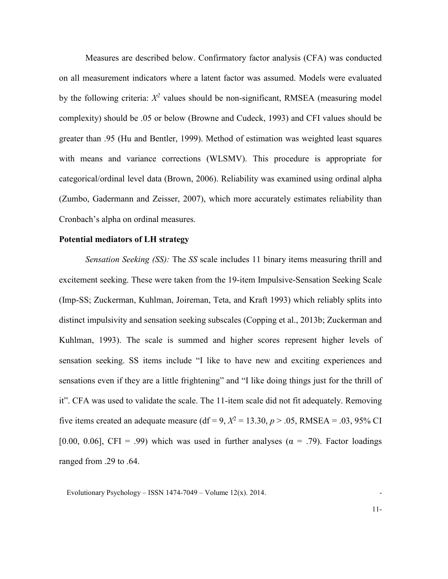Measures are described below. Confirmatory factor analysis (CFA) was conducted on all measurement indicators where a latent factor was assumed. Models were evaluated by the following criteria:  $X^2$  values should be non-significant, RMSEA (measuring model complexity) should be .05 or below (Browne and Cudeck, 1993) and CFI values should be greater than .95 (Hu and Bentler, 1999). Method of estimation was weighted least squares with means and variance corrections (WLSMV). This procedure is appropriate for categorical/ordinal level data (Brown, 2006). Reliability was examined using ordinal alpha (Zumbo, Gadermann and Zeisser, 2007), which more accurately estimates reliability than Cronbach's alpha on ordinal measures.

## **Potential mediators of LH strategy**

*Sensation Seeking (SS):* The *SS* scale includes 11 binary items measuring thrill and excitement seeking. These were taken from the 19-item Impulsive-Sensation Seeking Scale (Imp-SS; Zuckerman, Kuhlman, Joireman, Teta, and Kraft 1993) which reliably splits into distinct impulsivity and sensation seeking subscales (Copping et al., 2013b; Zuckerman and Kuhlman, 1993). The scale is summed and higher scores represent higher levels of sensation seeking. SS items include "I like to have new and exciting experiences and sensations even if they are a little frightening" and "I like doing things just for the thrill of it". CFA was used to validate the scale. The 11-item scale did not fit adequately. Removing five items created an adequate measure (df = 9,  $X^2 = 13.30, p > .05$ , RMSEA = .03, 95% CI [0.00, 0.06], CFI = .99) which was used in further analyses ( $\alpha$  = .79). Factor loadings ranged from .29 to .64.

Evolutionary Psychology – ISSN 1474-7049 – Volume  $12(x)$ . 2014.

11-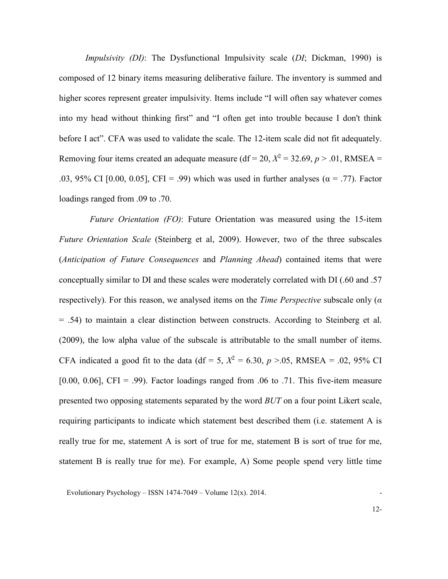*Impulsivity (DI)*: The Dysfunctional Impulsivity scale (*DI*; Dickman, 1990) is composed of 12 binary items measuring deliberative failure. The inventory is summed and higher scores represent greater impulsivity. Items include "I will often say whatever comes into my head without thinking first" and "I often get into trouble because I don't think before I act". CFA was used to validate the scale. The 12-item scale did not fit adequately. Removing four items created an adequate measure (df = 20,  $X^2 = 32.69$ ,  $p > .01$ , RMSEA = .03, 95% CI [0.00, 0.05], CFI = .99) which was used in further analyses ( $\alpha$  = .77). Factor loadings ranged from .09 to .70.

 *Future Orientation (FO)*: Future Orientation was measured using the 15-item *Future Orientation Scale* (Steinberg et al, 2009). However, two of the three subscales (*Anticipation of Future Consequences* and *Planning Ahead*) contained items that were conceptually similar to DI and these scales were moderately correlated with DI (.60 and .57 respectively). For this reason, we analysed items on the *Time Perspective* subscale only (*α* = .54) to maintain a clear distinction between constructs. According to Steinberg et al. (2009), the low alpha value of the subscale is attributable to the small number of items. CFA indicated a good fit to the data (df = 5,  $X^2 = 6.30$ ,  $p > 0.05$ , RMSEA = .02, 95% CI [0.00, 0.06], CFI = .99). Factor loadings ranged from .06 to .71. This five-item measure presented two opposing statements separated by the word *BUT* on a four point Likert scale, requiring participants to indicate which statement best described them (i.e. statement A is really true for me, statement A is sort of true for me, statement B is sort of true for me, statement B is really true for me). For example, A) Some people spend very little time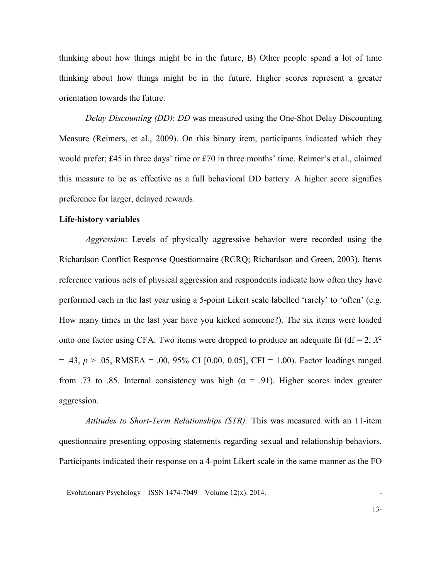thinking about how things might be in the future, B) Other people spend a lot of time thinking about how things might be in the future. Higher scores represent a greater orientation towards the future.

*Delay Discounting (DD)*: *DD* was measured using the One-Shot Delay Discounting Measure (Reimers, et al., 2009). On this binary item, participants indicated which they would prefer; £45 in three days' time or £70 in three months' time. Reimer's et al., claimed this measure to be as effective as a full behavioral DD battery. A higher score signifies preference for larger, delayed rewards.

#### **Life-history variables**

*Aggression*: Levels of physically aggressive behavior were recorded using the Richardson Conflict Response Questionnaire (RCRQ; Richardson and Green, 2003). Items reference various acts of physical aggression and respondents indicate how often they have performed each in the last year using a 5-point Likert scale labelled 'rarely' to 'often' (e.g. How many times in the last year have you kicked someone?). The six items were loaded onto one factor using CFA. Two items were dropped to produce an adequate fit ( $df = 2$ ,  $X^2$  $= .43, p > .05, RMSEA = .00, 95\% \text{ CI}$  [0.00, 0.05], CFI = 1.00). Factor loadings ranged from .73 to .85. Internal consistency was high ( $\alpha = .91$ ). Higher scores index greater aggression.

*Attitudes to Short-Term Relationships (STR):* This was measured with an 11-item questionnaire presenting opposing statements regarding sexual and relationship behaviors. Participants indicated their response on a 4-point Likert scale in the same manner as the FO

Evolutionary Psychology – ISSN 1474-7049 – Volume  $12(x)$ . 2014.

13-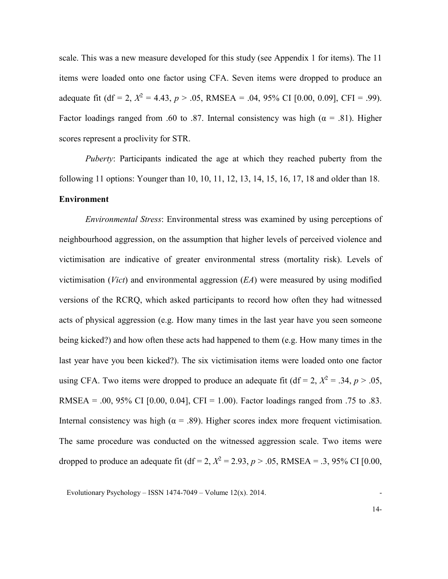scale. This was a new measure developed for this study (see Appendix 1 for items). The 11 items were loaded onto one factor using CFA. Seven items were dropped to produce an adequate fit (df = 2,  $X^2 = 4.43$ ,  $p > .05$ , RMSEA = .04, 95% CI [0.00, 0.09], CFI = .99). Factor loadings ranged from .60 to .87. Internal consistency was high ( $\alpha$  = .81). Higher scores represent a proclivity for STR.

*Puberty*: Participants indicated the age at which they reached puberty from the following 11 options: Younger than 10, 10, 11, 12, 13, 14, 15, 16, 17, 18 and older than 18. **Environment**

*Environmental Stress*: Environmental stress was examined by using perceptions of neighbourhood aggression, on the assumption that higher levels of perceived violence and victimisation are indicative of greater environmental stress (mortality risk). Levels of victimisation (*Vict*) and environmental aggression (*EA*) were measured by using modified versions of the RCRQ, which asked participants to record how often they had witnessed acts of physical aggression (e.g. How many times in the last year have you seen someone being kicked?) and how often these acts had happened to them (e.g. How many times in the last year have you been kicked?). The six victimisation items were loaded onto one factor using CFA. Two items were dropped to produce an adequate fit (df = 2,  $X^2 = .34$ ,  $p > .05$ , RMSEA = .00, 95% CI [0.00, 0.04], CFI = 1.00). Factor loadings ranged from .75 to .83. Internal consistency was high ( $\alpha = .89$ ). Higher scores index more frequent victimisation. The same procedure was conducted on the witnessed aggression scale. Two items were dropped to produce an adequate fit (df = 2,  $X^2 = 2.93$ ,  $p > .05$ , RMSEA = .3, 95% CI [0.00,

Evolutionary Psychology – ISSN 1474-7049 – Volume  $12(x)$ . 2014.

14-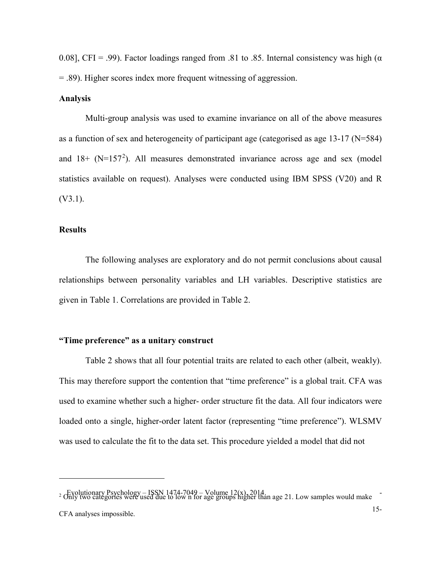0.08], CFI = .99). Factor loadings ranged from .81 to .85. Internal consistency was high ( $\alpha$ ) = .89). Higher scores index more frequent witnessing of aggression.

#### **Analysis**

Multi-group analysis was used to examine invariance on all of the above measures as a function of sex and heterogeneity of participant age (categorised as age 13-17 (N=584) and  $18+$  (N=157<sup>[2](#page-14-0)</sup>). All measures demonstrated invariance across age and sex (model statistics available on request). Analyses were conducted using IBM SPSS (V20) and R (V3.1).

### **Results**

 $\overline{a}$ 

The following analyses are exploratory and do not permit conclusions about causal relationships between personality variables and LH variables. Descriptive statistics are given in Table 1. Correlations are provided in Table 2.

## **"Time preference" as a unitary construct**

Table 2 shows that all four potential traits are related to each other (albeit, weakly). This may therefore support the contention that "time preference" is a global trait. CFA was used to examine whether such a higher- order structure fit the data. All four indicators were loaded onto a single, higher-order latent factor (representing "time preference"). WLSMV was used to calculate the fit to the data set. This procedure yielded a model that did not

<span id="page-14-0"></span><sup>&</sup>lt;sup>2</sup> Evolutionary Psychology – ISSN 1474-7049 – Volume 12(x), 2014.<br>
<sup>2</sup> Only two categories were used due to low n for age groups higher than age 21. Low samples would make 15- CFA analyses impossible.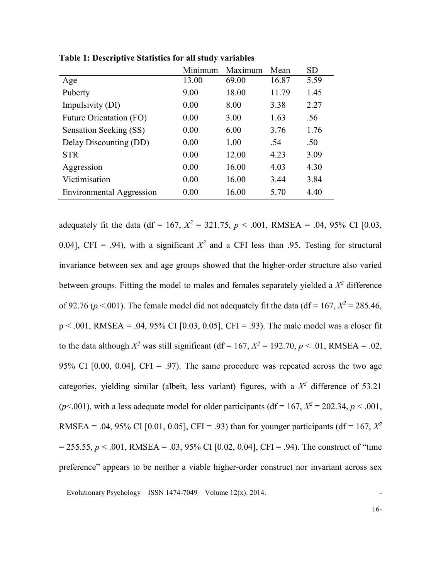|                                 | Minimum | Maximum | Mean  | <b>SD</b> |
|---------------------------------|---------|---------|-------|-----------|
| Age                             | 13.00   | 69.00   | 16.87 | 5.59      |
| Puberty                         | 9.00    | 18.00   | 11.79 | 1.45      |
| Impulsivity (DI)                | 0.00    | 8.00    | 3.38  | 2.27      |
| Future Orientation (FO)         | 0.00    | 3.00    | 1.63  | .56       |
| Sensation Seeking (SS)          | 0.00    | 6.00    | 3.76  | 1.76      |
| Delay Discounting (DD)          | 0.00    | 1.00    | .54   | .50       |
| <b>STR</b>                      | 0.00    | 12.00   | 4.23  | 3.09      |
| Aggression                      | 0.00    | 16.00   | 4.03  | 4.30      |
| Victimisation                   | 0.00    | 16.00   | 3.44  | 3.84      |
| <b>Environmental Aggression</b> | 0.00    | 16.00   | 5.70  | 4.40      |

**Table 1: Descriptive Statistics for all study variables** 

adequately fit the data (df = 167,  $X^2 = 321.75$ ,  $p < .001$ , RMSEA = .04, 95% CI [0.03, 0.04], CFI = .94), with a significant  $X^2$  and a CFI less than .95. Testing for structural invariance between sex and age groups showed that the higher-order structure also varied between groups. Fitting the model to males and females separately yielded a  $X^2$  difference of 92.76 ( $p < .001$ ). The female model did not adequately fit the data (df = 167,  $X^2 = 285.46$ ,  $p < .001$ , RMSEA = .04, 95% CI [0.03, 0.05], CFI = .93). The male model was a closer fit to the data although  $X^2$  was still significant (df = 167,  $X^2 = 192.70$ ,  $p < .01$ , RMSEA = .02, 95% CI  $[0.00, 0.04]$ , CFI = .97). The same procedure was repeated across the two age categories, yielding similar (albeit, less variant) figures, with a  $X^2$  difference of 53.21 ( $p$ <.001), with a less adequate model for older participants (df = 167,  $X^2 = 202.34$ ,  $p < .001$ , RMSEA = .04, 95% CI [0.01, 0.05], CFI = .93) than for younger participants (df = 167,  $X^2$  $= 255.55, p < .001, RMSEA = .03, 95\% \text{ CI}$  [0.02, 0.04], CFI = .94). The construct of "time" preference" appears to be neither a viable higher-order construct nor invariant across sex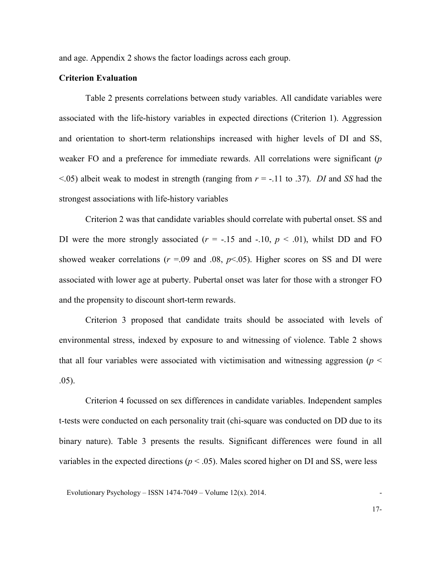and age. Appendix 2 shows the factor loadings across each group.

#### **Criterion Evaluation**

Table 2 presents correlations between study variables. All candidate variables were associated with the life-history variables in expected directions (Criterion 1). Aggression and orientation to short-term relationships increased with higher levels of DI and SS, weaker FO and a preference for immediate rewards. All correlations were significant (*p*  <.05) albeit weak to modest in strength (ranging from *r* = -.11 to .37). *DI* and *SS* had the strongest associations with life-history variables

Criterion 2 was that candidate variables should correlate with pubertal onset. SS and DI were the more strongly associated  $(r = -.15$  and  $-.10, p < .01)$ , whilst DD and FO showed weaker correlations ( $r = .09$  and  $.08$ ,  $p < .05$ ). Higher scores on SS and DI were associated with lower age at puberty. Pubertal onset was later for those with a stronger FO and the propensity to discount short-term rewards.

Criterion 3 proposed that candidate traits should be associated with levels of environmental stress, indexed by exposure to and witnessing of violence. Table 2 shows that all four variables were associated with victimisation and witnessing aggression (*p* < .05).

Criterion 4 focussed on sex differences in candidate variables. Independent samples t-tests were conducted on each personality trait (chi-square was conducted on DD due to its binary nature). Table 3 presents the results. Significant differences were found in all variables in the expected directions ( $p < .05$ ). Males scored higher on DI and SS, were less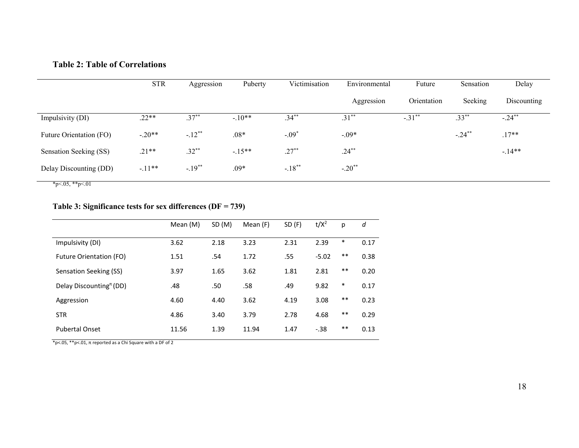## **Table 2: Table of Correlations**

|                         | <b>STR</b> | Aggression           | Puberty  | Victimisation         | Environmental        | Future      | Sensation             | Delay       |
|-------------------------|------------|----------------------|----------|-----------------------|----------------------|-------------|-----------------------|-------------|
|                         |            |                      |          |                       | Aggression           | Orientation | Seeking               | Discounting |
| Impulsivity (DI)        | $.22**$    | $.37***$             | $-.10**$ | $\overline{.34}^{**}$ | $.31***$             | $-.31***$   | $\overline{.33}^{**}$ | $-24^{**}$  |
| Future Orientation (FO) | $-.20**$   | $-.12**$             | $.08*$   | $-.09*$               | $-.09*$              |             | $-.24***$             | $.17**$     |
| Sensation Seeking (SS)  | $.21**$    | $.32***$             | $-15**$  | $.27***$              | $.24***$             |             |                       | $-14**$     |
| Delay Discounting (DD)  | $-.11**$   | $-.19$ <sup>**</sup> | $.09*$   | $-.18***$             | $-.20$ <sup>**</sup> |             |                       |             |

 $*_{p<.05,**_{p<.01}}$ 

## **Table 3: Significance tests for sex differences (DF = 739)**

|                                                    | Mean (M) | SD (M) | Mean (F) | SD (F) | $t/X^2$ | р      | d    |
|----------------------------------------------------|----------|--------|----------|--------|---------|--------|------|
| Impulsivity (DI)                                   | 3.62     | 2.18   | 3.23     | 2.31   | 2.39    | $\ast$ | 0.17 |
| <b>Future Orientation (FO)</b>                     | 1.51     | .54    | 1.72     | .55    | $-5.02$ | $***$  | 0.38 |
| Sensation Seeking (SS)                             | 3.97     | 1.65   | 3.62     | 1.81   | 2.81    | $***$  | 0.20 |
| Delay Discounting <sup><math>\pi</math></sup> (DD) | .48      | .50    | .58      | .49    | 9.82    | $\ast$ | 0.17 |
| Aggression                                         | 4.60     | 4.40   | 3.62     | 4.19   | 3.08    | $***$  | 0.23 |
| <b>STR</b>                                         | 4.86     | 3.40   | 3.79     | 2.78   | 4.68    | $***$  | 0.29 |
| <b>Pubertal Onset</b>                              | 11.56    | 1.39   | 11.94    | 1.47   | $-.38$  | $***$  | 0.13 |

\*p<.05, \*\*p<.01, π reported as a Chi Square with a DF of 2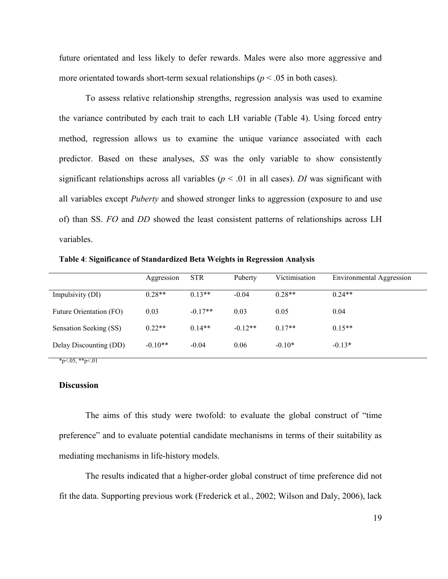future orientated and less likely to defer rewards. Males were also more aggressive and more orientated towards short-term sexual relationships ( $p < .05$  in both cases).

To assess relative relationship strengths, regression analysis was used to examine the variance contributed by each trait to each LH variable (Table 4). Using forced entry method, regression allows us to examine the unique variance associated with each predictor. Based on these analyses, *SS* was the only variable to show consistently significant relationships across all variables ( $p < .01$  in all cases). *DI* was significant with all variables except *Puberty* and showed stronger links to aggression (exposure to and use of) than SS. *FO* and *DD* showed the least consistent patterns of relationships across LH variables.

**Table 4**: **Significance of Standardized Beta Weights in Regression Analysis**

|                         | Aggression | <b>STR</b> | Puberty   | Victimisation | Environmental Aggression |
|-------------------------|------------|------------|-----------|---------------|--------------------------|
| Impulsivity (DI)        | $0.28**$   | $0.13**$   | $-0.04$   | $0.28**$      | $0.24**$                 |
| Future Orientation (FO) | 0.03       | $-0.17**$  | 0.03      | 0.05          | 0.04                     |
| Sensation Seeking (SS)  | $0.22**$   | $0.14**$   | $-0.12**$ | $0.17**$      | $0.15**$                 |
| Delay Discounting (DD)  | $-0.10**$  | $-0.04$    | 0.06      | $-0.10*$      | $-0.13*$                 |

 $*_{p<.05,**p<.01}$ 

#### **Discussion**

The aims of this study were twofold: to evaluate the global construct of "time preference" and to evaluate potential candidate mechanisms in terms of their suitability as mediating mechanisms in life-history models.

The results indicated that a higher-order global construct of time preference did not fit the data. Supporting previous work (Frederick et al., 2002; Wilson and Daly, 2006), lack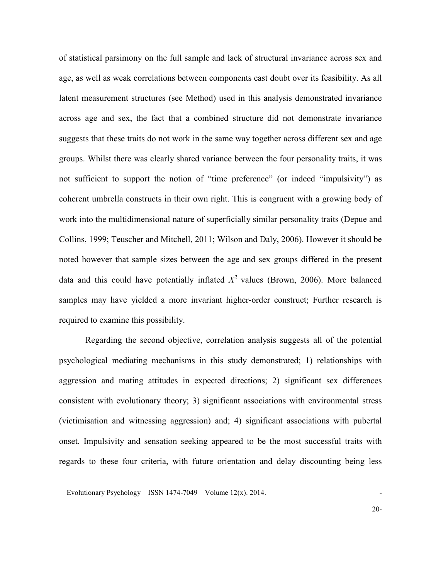of statistical parsimony on the full sample and lack of structural invariance across sex and age, as well as weak correlations between components cast doubt over its feasibility. As all latent measurement structures (see Method) used in this analysis demonstrated invariance across age and sex, the fact that a combined structure did not demonstrate invariance suggests that these traits do not work in the same way together across different sex and age groups. Whilst there was clearly shared variance between the four personality traits, it was not sufficient to support the notion of "time preference" (or indeed "impulsivity") as coherent umbrella constructs in their own right. This is congruent with a growing body of work into the multidimensional nature of superficially similar personality traits (Depue and Collins, 1999; Teuscher and Mitchell, 2011; Wilson and Daly, 2006). However it should be noted however that sample sizes between the age and sex groups differed in the present data and this could have potentially inflated  $X^2$  values (Brown, 2006). More balanced samples may have yielded a more invariant higher-order construct; Further research is required to examine this possibility.

Regarding the second objective, correlation analysis suggests all of the potential psychological mediating mechanisms in this study demonstrated; 1) relationships with aggression and mating attitudes in expected directions; 2) significant sex differences consistent with evolutionary theory; 3) significant associations with environmental stress (victimisation and witnessing aggression) and; 4) significant associations with pubertal onset. Impulsivity and sensation seeking appeared to be the most successful traits with regards to these four criteria, with future orientation and delay discounting being less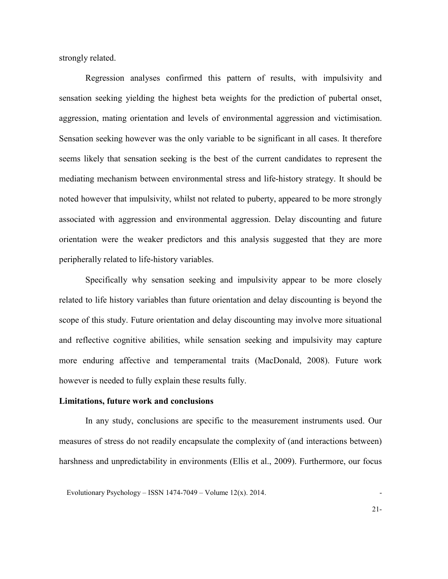strongly related.

Regression analyses confirmed this pattern of results, with impulsivity and sensation seeking yielding the highest beta weights for the prediction of pubertal onset, aggression, mating orientation and levels of environmental aggression and victimisation. Sensation seeking however was the only variable to be significant in all cases. It therefore seems likely that sensation seeking is the best of the current candidates to represent the mediating mechanism between environmental stress and life-history strategy. It should be noted however that impulsivity, whilst not related to puberty, appeared to be more strongly associated with aggression and environmental aggression. Delay discounting and future orientation were the weaker predictors and this analysis suggested that they are more peripherally related to life-history variables.

Specifically why sensation seeking and impulsivity appear to be more closely related to life history variables than future orientation and delay discounting is beyond the scope of this study. Future orientation and delay discounting may involve more situational and reflective cognitive abilities, while sensation seeking and impulsivity may capture more enduring affective and temperamental traits (MacDonald, 2008). Future work however is needed to fully explain these results fully.

#### **Limitations, future work and conclusions**

In any study, conclusions are specific to the measurement instruments used. Our measures of stress do not readily encapsulate the complexity of (and interactions between) harshness and unpredictability in environments (Ellis et al., 2009). Furthermore, our focus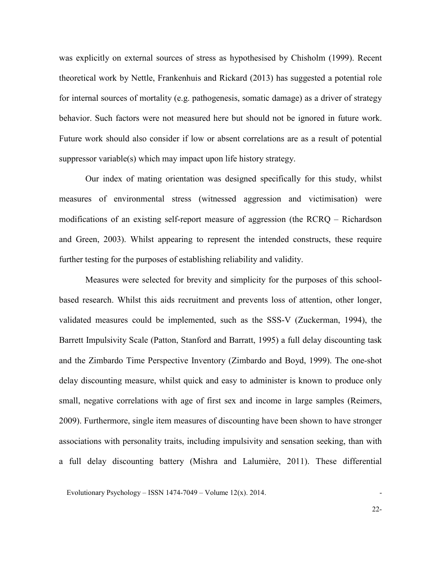was explicitly on external sources of stress as hypothesised by Chisholm (1999). Recent theoretical work by Nettle, Frankenhuis and Rickard (2013) has suggested a potential role for internal sources of mortality (e.g. pathogenesis, somatic damage) as a driver of strategy behavior. Such factors were not measured here but should not be ignored in future work. Future work should also consider if low or absent correlations are as a result of potential suppressor variable(s) which may impact upon life history strategy.

Our index of mating orientation was designed specifically for this study, whilst measures of environmental stress (witnessed aggression and victimisation) were modifications of an existing self-report measure of aggression (the RCRQ – Richardson and Green, 2003). Whilst appearing to represent the intended constructs, these require further testing for the purposes of establishing reliability and validity.

Measures were selected for brevity and simplicity for the purposes of this schoolbased research. Whilst this aids recruitment and prevents loss of attention, other longer, validated measures could be implemented, such as the SSS-V (Zuckerman, 1994), the Barrett Impulsivity Scale (Patton, Stanford and Barratt, 1995) a full delay discounting task and the Zimbardo Time Perspective Inventory (Zimbardo and Boyd, 1999). The one-shot delay discounting measure, whilst quick and easy to administer is known to produce only small, negative correlations with age of first sex and income in large samples (Reimers, 2009). Furthermore, single item measures of discounting have been shown to have stronger associations with personality traits, including impulsivity and sensation seeking, than with a full delay discounting battery (Mishra and Lalumière, 2011). These differential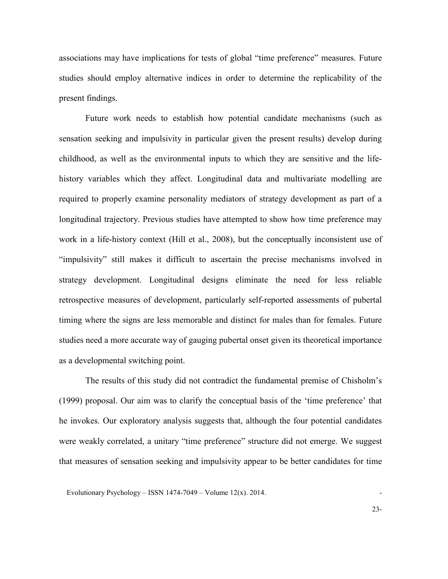associations may have implications for tests of global "time preference" measures. Future studies should employ alternative indices in order to determine the replicability of the present findings.

Future work needs to establish how potential candidate mechanisms (such as sensation seeking and impulsivity in particular given the present results) develop during childhood, as well as the environmental inputs to which they are sensitive and the lifehistory variables which they affect. Longitudinal data and multivariate modelling are required to properly examine personality mediators of strategy development as part of a longitudinal trajectory. Previous studies have attempted to show how time preference may work in a life-history context (Hill et al., 2008), but the conceptually inconsistent use of "impulsivity" still makes it difficult to ascertain the precise mechanisms involved in strategy development. Longitudinal designs eliminate the need for less reliable retrospective measures of development, particularly self-reported assessments of pubertal timing where the signs are less memorable and distinct for males than for females. Future studies need a more accurate way of gauging pubertal onset given its theoretical importance as a developmental switching point.

The results of this study did not contradict the fundamental premise of Chisholm's (1999) proposal. Our aim was to clarify the conceptual basis of the 'time preference' that he invokes. Our exploratory analysis suggests that, although the four potential candidates were weakly correlated, a unitary "time preference" structure did not emerge. We suggest that measures of sensation seeking and impulsivity appear to be better candidates for time

Evolutionary Psychology – ISSN 1474-7049 – Volume  $12(x)$ . 2014.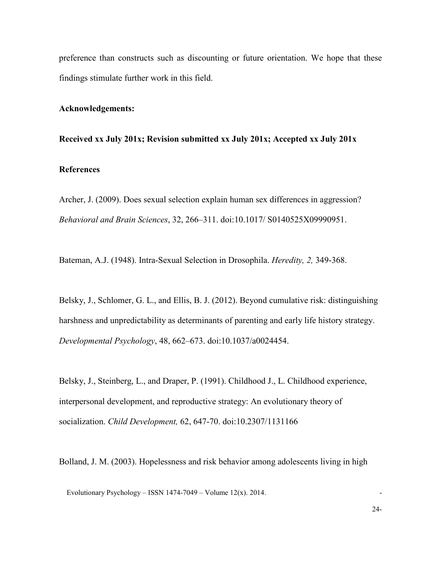preference than constructs such as discounting or future orientation. We hope that these findings stimulate further work in this field.

#### **Acknowledgements:**

#### **Received xx July 201x; Revision submitted xx July 201x; Accepted xx July 201x**

## **References**

Archer, J. (2009). Does sexual selection explain human sex differences in aggression? *Behavioral and Brain Sciences*, 32, 266–311. doi:10.1017/ S0140525X09990951.

Bateman, A.J. (1948). Intra-Sexual Selection in Drosophila. *Heredity, 2,* 349-368.

Belsky, J., Schlomer, G. L., and Ellis, B. J. (2012). Beyond cumulative risk: distinguishing harshness and unpredictability as determinants of parenting and early life history strategy. *Developmental Psychology*, 48, 662–673. doi:10.1037/a0024454.

Belsky, J., Steinberg, L., and Draper, P. (1991). Childhood J., L. Childhood experience, interpersonal development, and reproductive strategy: An evolutionary theory of socialization. *Child Development,* 62, 647-70. [doi:10.2307/1131166](http://dx.doi.org/10.2307%2F1131166)

Bolland, J. M. (2003). Hopelessness and risk behavior among adolescents living in high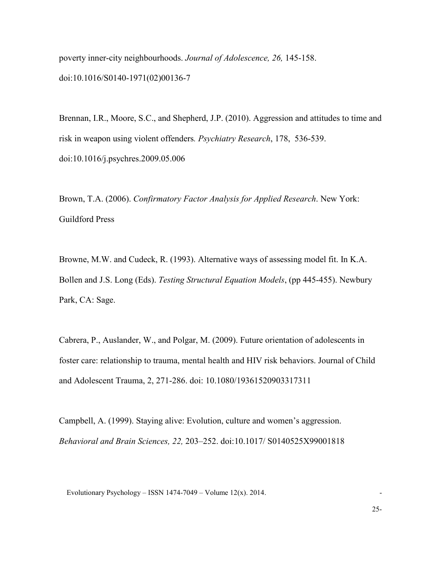poverty inner-city neighbourhoods. *Journal of Adolescence, 26,* 145-158. doi:10.1016/S0140-1971(02)00136-7

Brennan, I.R., Moore, S.C., and Shepherd, J.P. (2010). Aggression and attitudes to time and risk in weapon using violent offenders*. Psychiatry Research*, 178, 536-539. doi:10.1016/j.psychres.2009.05.006

Brown, T.A. (2006). *Confirmatory Factor Analysis for Applied Research*. New York: Guildford Press

Browne, M.W. and Cudeck, R. (1993). Alternative ways of assessing model fit. In K.A. Bollen and J.S. Long (Eds). *Testing Structural Equation Models*, (pp 445-455). Newbury Park, CA: Sage.

Cabrera, P., Auslander, W., and Polgar, M. (2009). Future orientation of adolescents in foster care: relationship to trauma, mental health and HIV risk behaviors. Journal of Child and Adolescent Trauma, 2, 271-286. doi: 10.1080/19361520903317311

Campbell, A. (1999). Staying alive: Evolution, culture and women's aggression. *Behavioral and Brain Sciences, 22,* 203–252. doi:10.1017/ S0140525X99001818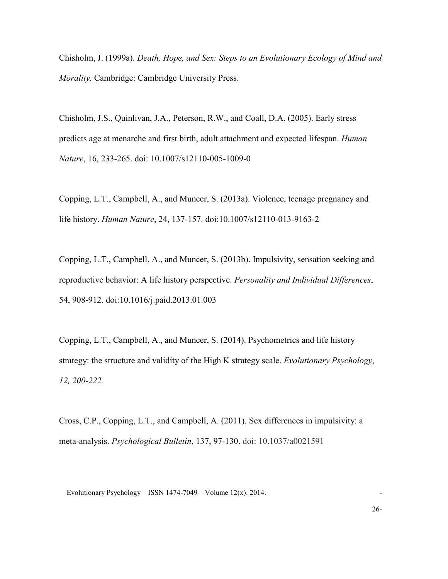Chisholm, J. (1999a). *Death, Hope, and Sex: Steps to an Evolutionary Ecology of Mind and Morality.* Cambridge: Cambridge University Press.

Chisholm, J.S., Quinlivan, J.A., Peterson, R.W., and Coall, D.A. (2005). Early stress predicts age at menarche and first birth, adult attachment and expected lifespan. *Human Nature*, 16, 233-265. doi: 10.1007/s12110-005-1009-0

Copping, L.T., Campbell, A., and Muncer, S. (2013a). Violence, teenage pregnancy and life history. *Human Nature*, 24, 137-157. doi:10.1007/s12110-013-9163-2

Copping, L.T., Campbell, A., and Muncer, S. (2013b). Impulsivity, sensation seeking and reproductive behavior: A life history perspective. *Personality and Individual Differences*, 54, 908-912. doi:10.1016/j.paid.2013.01.003

Copping, L.T., Campbell, A., and Muncer, S. (2014). Psychometrics and life history strategy: the structure and validity of the High K strategy scale. *Evolutionary Psychology*, *12, 200-222.*

Cross, C.P., Copping, L.T., and Campbell, A. (2011). Sex differences in impulsivity: a meta-analysis. *Psychological Bulletin*, 137, 97-130. doi: 10.1037/a0021591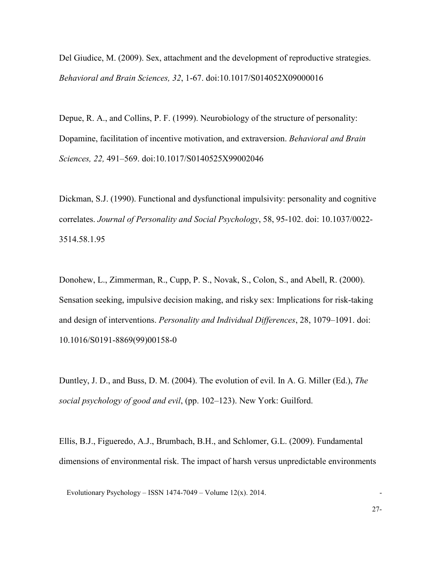Del Giudice, M. (2009). Sex, attachment and the development of reproductive strategies. *Behavioral and Brain Sciences, 32*, 1-67. doi:10.1017/S014052X09000016

Depue, R. A., and Collins, P. F. (1999). Neurobiology of the structure of personality: Dopamine, facilitation of incentive motivation, and extraversion. *Behavioral and Brain Sciences, 22,* 491–569. doi:10.1017/S0140525X99002046

Dickman, S.J. (1990). Functional and dysfunctional impulsivity: personality and cognitive correlates. *Journal of Personality and Social Psychology*, 58, 95-102. doi: 10.1037/0022- 3514.58.1.95

Donohew, L., Zimmerman, R., Cupp, P. S., Novak, S., Colon, S., and Abell, R. (2000). Sensation seeking, impulsive decision making, and risky sex: Implications for risk-taking and design of interventions. *Personality and Individual Differences*, 28, 1079–1091. doi: 10.1016/S0191-8869(99)00158-0

Duntley, J. D., and Buss, D. M. (2004). The evolution of evil. In A. G. Miller (Ed.), *The social psychology of good and evil*, (pp. 102–123). New York: Guilford.

Ellis, B.J., Figueredo, A.J., Brumbach, B.H., and Schlomer, G.L. (2009). Fundamental dimensions of environmental risk. The impact of harsh versus unpredictable environments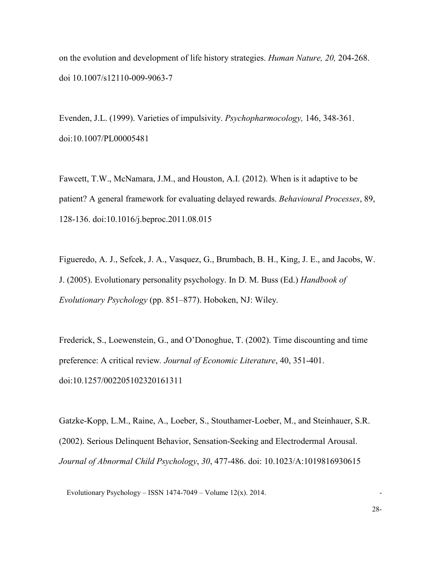on the evolution and development of life history strategies. *Human Nature, 20,* 204-268. doi 10.1007/s12110-009-9063-7

Evenden, J.L. (1999). Varieties of impulsivity. *Psychopharmocology,* 146, 348-361. doi:10.1007/PL00005481

Fawcett, T.W., McNamara, J.M., and Houston, A.I. (2012). When is it adaptive to be patient? A general framework for evaluating delayed rewards. *Behavioural Processes*, 89, 128-136. doi:10.1016/j.beproc.2011.08.015

Figueredo, A. J., Sefcek, J. A., Vasquez, G., Brumbach, B. H., King, J. E., and Jacobs, W. J. (2005). Evolutionary personality psychology. In D. M. Buss (Ed.) *Handbook of Evolutionary Psychology* (pp. 851–877). Hoboken, NJ: Wiley.

Frederick, S., Loewenstein, G., and O'Donoghue, T. (2002). Time discounting and time preference: A critical review*. Journal of Economic Literature*, 40, 351-401. doi:10.1257/002205102320161311

Gatzke-Kopp, L.M., Raine, A., Loeber, S., Stouthamer-Loeber, M., and Steinhauer, S.R. (2002). Serious Delinquent Behavior, Sensation-Seeking and Electrodermal Arousal. *Journal of Abnormal Child Psychology*, *30*, 477-486. doi: 10.1023/A:1019816930615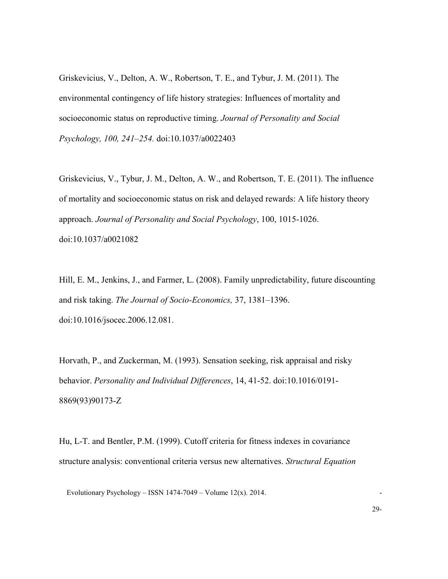Griskevicius, V., Delton, A. W., Robertson, T. E., and Tybur, J. M. (2011). The environmental contingency of life history strategies: Influences of mortality and socioeconomic status on reproductive timing. *Journal of Personality and Social Psychology, 100, 241–254.* doi:10.1037/a0022403

Griskevicius, V., Tybur, J. M., Delton, A. W., and Robertson, T. E. (2011). The influence of mortality and socioeconomic status on risk and delayed rewards: A life history theory approach. *Journal of Personality and Social Psychology*, 100, 1015-1026. doi:10.1037/a0021082

Hill, E. M., Jenkins, J., and Farmer, L. (2008). Family unpredictability, future discounting and risk taking. *The Journal of Socio-Economics,* 37, 1381–1396. [doi:10.1016/jsocec.2006.12.081.](http://dx.doi.org/10.1016/jsocec.2006.12.081)

Horvath, P., and Zuckerman, M. (1993). Sensation seeking, risk appraisal and risky behavior. *Personality and Individual Differences*, 14, 41-52. doi:10.1016/0191- 8869(93)90173-Z

Hu, L-T. and Bentler, P.M. (1999). Cutoff criteria for fitness indexes in covariance structure analysis: conventional criteria versus new alternatives. *Structural Equation*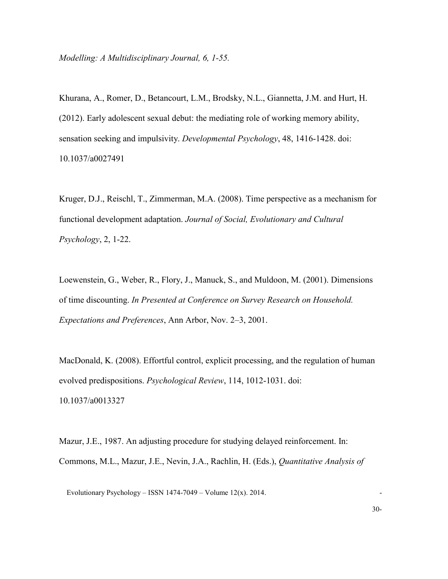Khurana, A., Romer, D., Betancourt, L.M., Brodsky, N.L., Giannetta, J.M. and Hurt, H. (2012). Early adolescent sexual debut: the mediating role of working memory ability, sensation seeking and impulsivity. *Developmental Psychology*, 48, 1416-1428. doi: 10.1037/a0027491

Kruger, D.J., Reischl, T., Zimmerman, M.A. (2008). Time perspective as a mechanism for functional development adaptation. *Journal of Social, Evolutionary and Cultural Psychology*, 2, 1-22.

Loewenstein, G., Weber, R., Flory, J., Manuck, S., and Muldoon, M. (2001). Dimensions of time discounting. *In Presented at Conference on Survey Research on Household. Expectations and Preferences*, Ann Arbor, Nov. 2–3, 2001.

MacDonald, K. (2008). Effortful control, explicit processing, and the regulation of human evolved predispositions. *Psychological Review*, 114, 1012-1031. doi: 10.1037/a0013327

Mazur, J.E., 1987. An adjusting procedure for studying delayed reinforcement. In: Commons, M.L., Mazur, J.E., Nevin, J.A., Rachlin, H. (Eds.), *Quantitative Analysis of*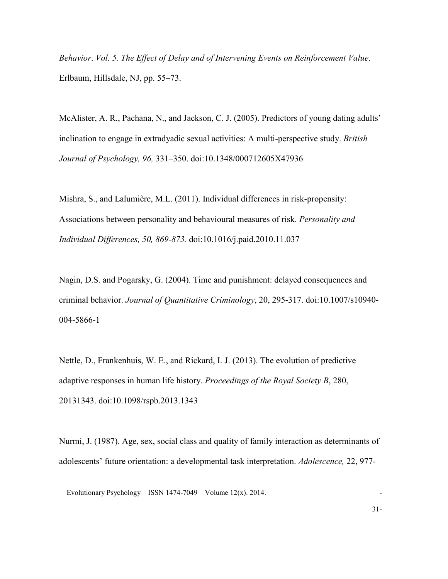*Behavior*. *Vol. 5. The Effect of Delay and of Intervening Events on Reinforcement Value*. Erlbaum, Hillsdale, NJ, pp. 55–73.

McAlister, A. R., Pachana, N., and Jackson, C. J. (2005). Predictors of young dating adults' inclination to engage in extradyadic sexual activities: A multi-perspective study. *British Journal of Psychology, 96,* 331–350. doi:10.1348/000712605X47936

Mishra, S., and Lalumière, M.L. (2011). Individual differences in risk-propensity: Associations between personality and behavioural measures of risk. *Personality and Individual Differences, 50, 869-873.* doi:10.1016/j.paid.2010.11.037

Nagin, D.S. and Pogarsky, G. (2004). Time and punishment: delayed consequences and criminal behavior. *Journal of Quantitative Criminology*, 20, 295-317. doi:10.1007/s10940- 004-5866-1

Nettle, D., Frankenhuis, W. E., and Rickard, I. J. (2013). The evolution of predictive adaptive responses in human life history. *Proceedings of the Royal Society B*, 280, 20131343. doi:10.1098/rspb.2013.1343

Nurmi, J. (1987). Age, sex, social class and quality of family interaction as determinants of adolescents' future orientation: a developmental task interpretation. *Adolescence,* 22, 977-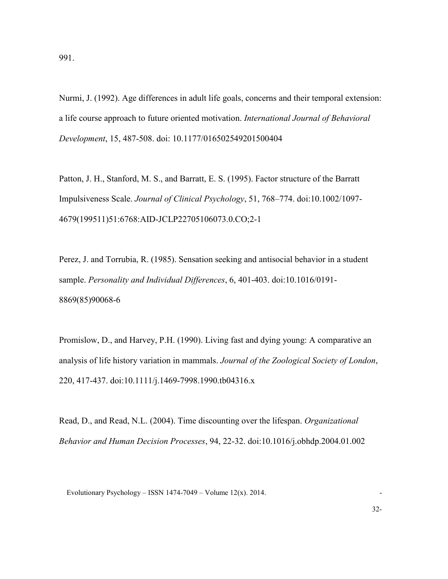Nurmi, J. (1992). Age differences in adult life goals, concerns and their temporal extension: a life course approach to future oriented motivation. *International Journal of Behavioral Development*, 15, 487-508. doi: 10.1177/016502549201500404

Patton, J. H., Stanford, M. S., and Barratt, E. S. (1995). Factor structure of the Barratt Impulsiveness Scale. *Journal of Clinical Psychology*, 51, 768–774. doi:10.1002/1097- 4679(199511)51:6768:AID-JCLP22705106073.0.CO;2-1

Perez, J. and Torrubia, R. (1985). Sensation seeking and antisocial behavior in a student sample. *Personality and Individual Differences*, 6, 401-403. doi:10.1016/0191- 8869(85)90068-6

Promislow, D., and Harvey, P.H. (1990). Living fast and dying young: A comparative an analysis of life history variation in mammals. *Journal of the Zoological Society of London*, 220, 417-437. doi:10.1111/j.1469-7998.1990.tb04316.x

Read, D., and Read, N.L. (2004). Time discounting over the lifespan. *Organizational Behavior and Human Decision Processes*, 94, 22-32. doi:10.1016/j.obhdp.2004.01.002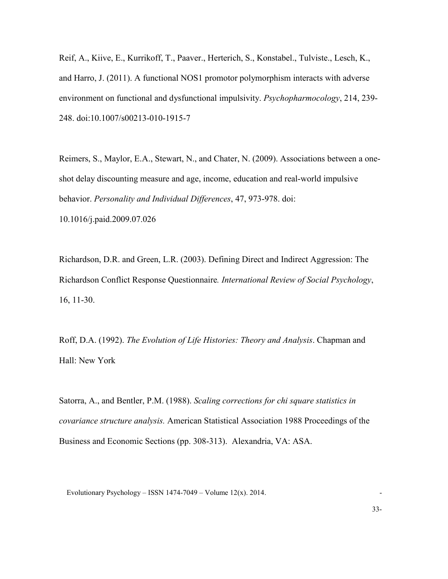Reif, A., Kiive, E., Kurrikoff, T., Paaver., Herterich, S., Konstabel., Tulviste., Lesch, K., and Harro, J. (2011). A functional NOS1 promotor polymorphism interacts with adverse environment on functional and dysfunctional impulsivity. *Psychopharmocology*, 214, 239- 248. doi:10.1007/s00213-010-1915-7

Reimers, S., Maylor, E.A., Stewart, N., and Chater, N. (2009). Associations between a oneshot delay discounting measure and age, income, education and real-world impulsive behavior. *Personality and Individual Differences*, 47, 973-978. doi: 10.1016/j.paid.2009.07.026

Richardson, D.R. and Green, L.R. (2003). Defining Direct and Indirect Aggression: The Richardson Conflict Response Questionnaire*. International Review of Social Psychology*, 16, 11-30.

Roff, D.A. (1992). *The Evolution of Life Histories: Theory and Analysis*. Chapman and Hall: New York

Satorra, A., and Bentler, P.M. (1988). *Scaling corrections for chi square statistics in covariance structure analysis.* American Statistical Association 1988 Proceedings of the Business and Economic Sections (pp. 308-313). Alexandria, VA: ASA.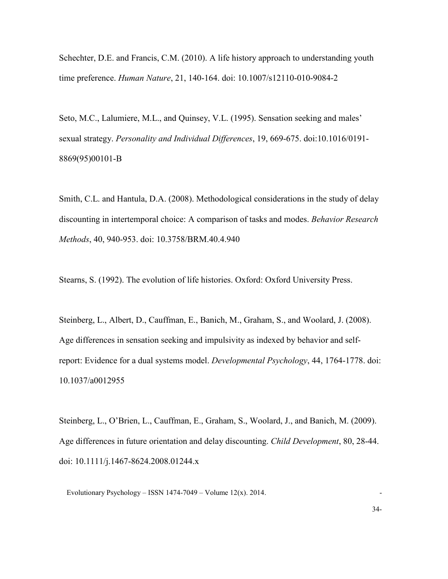Schechter, D.E. and Francis, C.M. (2010). A life history approach to understanding youth time preference. *Human Nature*, 21, 140-164. doi: 10.1007/s12110-010-9084-2

Seto, M.C., Lalumiere, M.L., and Quinsey, V.L. (1995). Sensation seeking and males' sexual strategy. *Personality and Individual Differences*, 19, 669-675. doi:10.1016/0191- 8869(95)00101-B

Smith, C.L. and Hantula, D.A. (2008). Methodological considerations in the study of delay discounting in intertemporal choice: A comparison of tasks and modes. *Behavior Research Methods*, 40, 940-953. doi: 10.3758/BRM.40.4.940

Stearns, S. (1992). The evolution of life histories. Oxford: Oxford University Press.

Steinberg, L., Albert, D., Cauffman, E., Banich, M., Graham, S., and Woolard, J. (2008). Age differences in sensation seeking and impulsivity as indexed by behavior and selfreport: Evidence for a dual systems model. *Developmental Psychology*, 44, 1764-1778. doi: 10.1037/a0012955

Steinberg, L., O'Brien, L., Cauffman, E., Graham, S., Woolard, J., and Banich, M. (2009). Age differences in future orientation and delay discounting. *Child Development*, 80, 28-44. doi: 10.1111/j.1467-8624.2008.01244.x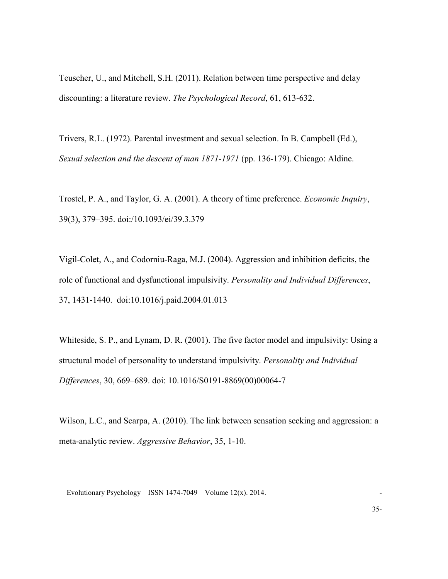Teuscher, U., and Mitchell, S.H. (2011). Relation between time perspective and delay discounting: a literature review. *The Psychological Record*, 61, 613-632.

Trivers, R.L. (1972). Parental investment and sexual selection. In B. Campbell (Ed.), *Sexual selection and the descent of man 1871-1971* (pp. 136-179). Chicago: Aldine.

Trostel, P. A., and Taylor, G. A. (2001). A theory of time preference. *Economic Inquiry*, 39(3), 379–395. doi:/10.1093/ei/39.3.379

Vigil-Colet, A., and Codorniu-Raga, M.J. (2004). Aggression and inhibition deficits, the role of functional and dysfunctional impulsivity. *Personality and Individual Differences*, 37, 1431-1440. doi:10.1016/j.paid.2004.01.013

Whiteside, S. P., and Lynam, D. R. (2001). The five factor model and impulsivity: Using a structural model of personality to understand impulsivity. *Personality and Individual Differences*, 30, 669–689. doi: 10.1016/S0191-8869(00)00064-7

Wilson, L.C., and Scarpa, A. (2010). The link between sensation seeking and aggression: a meta-analytic review. *Aggressive Behavior*, 35, 1-10.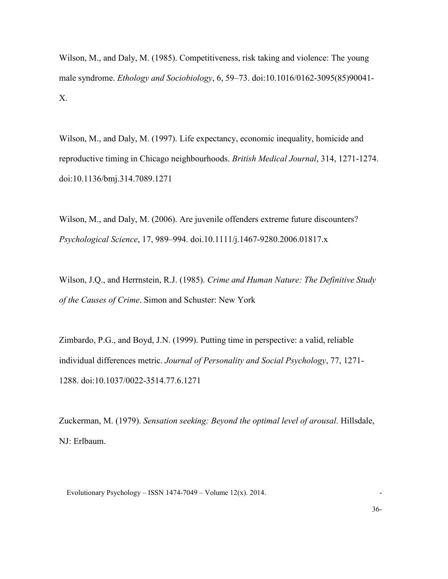Wilson, M., and Daly, M. (1985). Competitiveness, risk taking and violence: The young male syndrome. *Ethology and Sociobiology*, 6, 59–73. doi:10.1016/0162-3095(85)90041- X.

Wilson, M., and Daly, M. (1997). Life expectancy, economic inequality, homicide and reproductive timing in Chicago neighbourhoods. *British Medical Journal*, 314, 1271-1274. doi:10.1136/bmj.314.7089.1271

Wilson, M., and Daly, M. (2006). Are juvenile offenders extreme future discounters? *Psychological Science*, 17, 989–994. doi.10.1111/j.1467-9280.2006.01817.x

Wilson, J.Q., and Herrnstein, R.J. (1985). *Crime and Human Nature: The Definitive Study of the Causes of Crime*. Simon and Schuster: New York

Zimbardo, P.G., and Boyd, J.N. (1999). Putting time in perspective: a valid, reliable individual differences metric. *Journal of Personality and Social Psychology*, 77, 1271- 1288. doi:10.1037/0022-3514.77.6.1271

Zuckerman, M. (1979). *Sensation seeking: Beyond the optimal level of arousal*. Hillsdale, NJ: Erlbaum.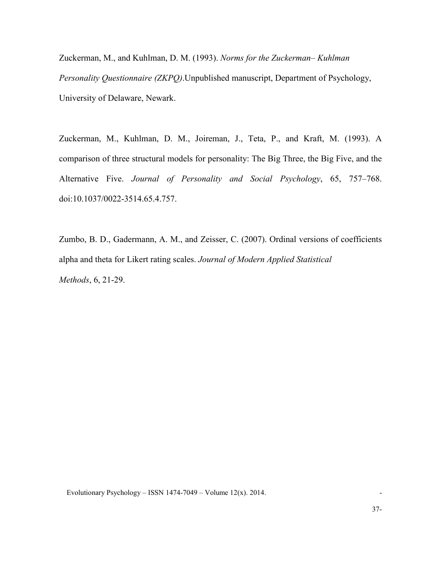Zuckerman, M., and Kuhlman, D. M. (1993). *Norms for the Zuckerman– Kuhlman Personality Questionnaire (ZKPQ)*.Unpublished manuscript, Department of Psychology, University of Delaware, Newark.

Zuckerman, M., Kuhlman, D. M., Joireman, J., Teta, P., and Kraft, M. (1993). A comparison of three structural models for personality: The Big Three, the Big Five, and the Alternative Five. *Journal of Personality and Social Psychology*, 65, 757–768. doi:10.1037/0022-3514.65.4.757.

Zumbo, B. D., Gadermann, A. M., and Zeisser, C. (2007). Ordinal versions of coefficients alpha and theta for Likert rating scales. *Journal of Modern Applied Statistical Methods*, 6, 21-29.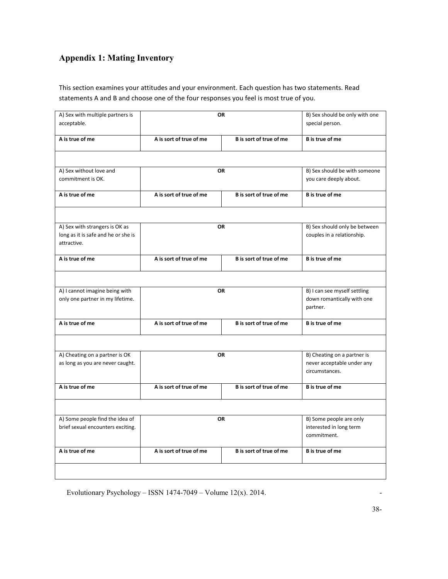# **Appendix 1: Mating Inventory**

This section examines your attitudes and your environment. Each question has two statements. Read statements A and B and choose one of the four responses you feel is most true of you.

| A) Sex with multiple partners is<br>acceptable. |                         | <b>OR</b>                              | B) Sex should be only with one<br>special person. |
|-------------------------------------------------|-------------------------|----------------------------------------|---------------------------------------------------|
| A is true of me                                 | A is sort of true of me | B is sort of true of me                | <b>B</b> is true of me                            |
|                                                 |                         |                                        |                                                   |
| A) Sex without love and                         |                         | OR                                     | B) Sex should be with someone                     |
| commitment is OK.                               |                         |                                        | you care deeply about.                            |
| A is true of me                                 | A is sort of true of me | B is sort of true of me                | <b>B</b> is true of me                            |
|                                                 |                         |                                        |                                                   |
| A) Sex with strangers is OK as                  |                         | <b>OR</b>                              | B) Sex should only be between                     |
| long as it is safe and he or she is             |                         |                                        | couples in a relationship.                        |
| attractive.                                     |                         |                                        |                                                   |
| A is true of me                                 | A is sort of true of me | B is sort of true of me                | <b>B</b> is true of me                            |
|                                                 |                         |                                        |                                                   |
| A) I cannot imagine being with                  | <b>OR</b>               | B) I can see myself settling           |                                                   |
| only one partner in my lifetime.                |                         | down romantically with one<br>partner. |                                                   |
| A is true of me                                 | A is sort of true of me | B is sort of true of me                | B is true of me                                   |
|                                                 |                         |                                        |                                                   |
| A) Cheating on a partner is OK                  |                         | <b>OR</b>                              | B) Cheating on a partner is                       |
| as long as you are never caught.                |                         |                                        | never acceptable under any<br>circumstances.      |
| A is true of me                                 | A is sort of true of me | B is sort of true of me                | <b>B</b> is true of me                            |
|                                                 |                         |                                        |                                                   |
| A) Some people find the idea of                 |                         | <b>OR</b>                              | B) Some people are only                           |
| brief sexual encounters exciting.               |                         |                                        | interested in long term                           |
|                                                 |                         |                                        | commitment.                                       |
| A is true of me                                 | A is sort of true of me | B is sort of true of me                | <b>B</b> is true of me                            |
|                                                 |                         |                                        |                                                   |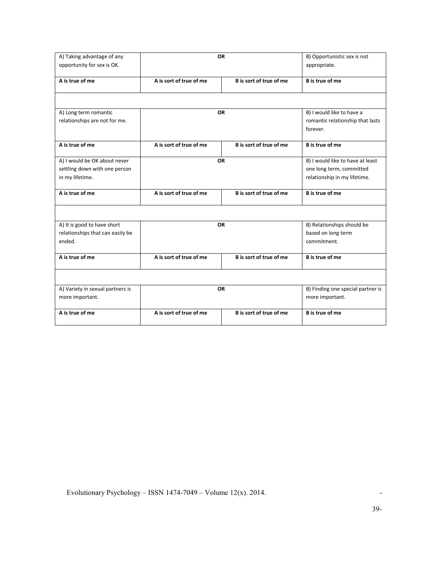| A) Taking advantage of any<br>opportunity for sex is OK. |                         | <b>OR</b>               | B) Opportunistic sex is not<br>appropriate. |
|----------------------------------------------------------|-------------------------|-------------------------|---------------------------------------------|
| A is true of me                                          | A is sort of true of me | B is sort of true of me | <b>B</b> is true of me                      |
|                                                          |                         |                         |                                             |
| A) Long term romantic                                    |                         | <b>OR</b>               | B) I would like to have a                   |
| relationships are not for me.                            |                         |                         | romantic relationship that lasts            |
|                                                          |                         |                         | forever.                                    |
| A is true of me                                          | A is sort of true of me | B is sort of true of me | <b>B</b> is true of me                      |
| A) I would be OK about never                             |                         | <b>OR</b>               | B) I would like to have at least            |
| settling down with one person                            |                         |                         | one long term, committed                    |
| in my lifetime.                                          |                         |                         | relationship in my lifetime.                |
| A is true of me                                          | A is sort of true of me | B is sort of true of me | <b>B</b> is true of me                      |
|                                                          |                         |                         |                                             |
| A) It is good to have short                              |                         | <b>OR</b>               | B) Relationships should be                  |
| relationships that can easily be                         |                         |                         | based on long term                          |
| ended.                                                   |                         |                         | commitment.                                 |
| A is true of me                                          | A is sort of true of me | B is sort of true of me | <b>B</b> is true of me                      |
|                                                          |                         |                         |                                             |
| A) Variety in sexual partners is                         |                         | <b>OR</b>               | B) Finding one special partner is           |
| more important.                                          |                         |                         | more important.                             |
| A is true of me                                          | A is sort of true of me | B is sort of true of me | <b>B</b> is true of me                      |